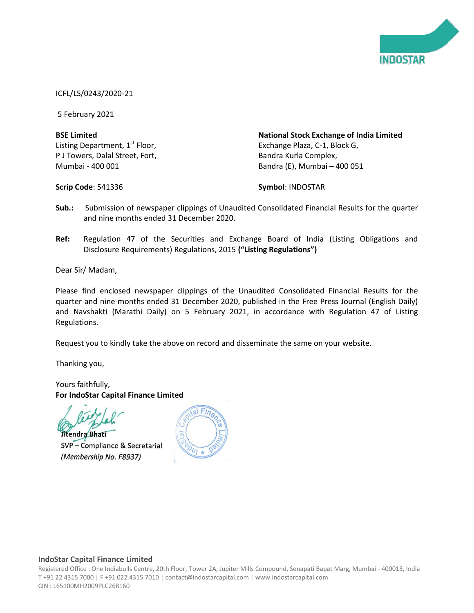

## ICFL/LS/0243/2020-21

5 February 2021

## **BSE Limited** Listing Department, 1<sup>st</sup> Floor, P J Towers, Dalal Street, Fort, Mumbai - 400 001

**National Stock Exchange of India Limited** Exchange Plaza, C-1, Block G, Bandra Kurla Complex, Bandra (E), Mumbai – 400 051

**Scrip Code**: 541336

**Symbol**: INDOSTAR

- **Sub.:** Submission of newspaper clippings of Unaudited Consolidated Financial Results for the quarter and nine months ended 31 December 2020.
- **Ref:** Regulation 47 of the Securities and Exchange Board of India (Listing Obligations and Disclosure Requirements) Regulations, 2015 **("Listing Regulations")**

Dear Sir/ Madam,

Please find enclosed newspaper clippings of the Unaudited Consolidated Financial Results for the quarter and nine months ended 31 December 2020, published in the Free Press Journal (English Daily) and Navshakti (Marathi Daily) on 5 February 2021, in accordance with Regulation 47 of Listing Regulations.

Request you to kindly take the above on record and disseminate the same on your website.

Thanking you,

Yours faithfully, **For IndoStar Capital Finance Limited**

Jitendra Bhati

SVP - Compliance & Secretarial (Membership No. F8937)



## **IndoStar Capital Finance Limited**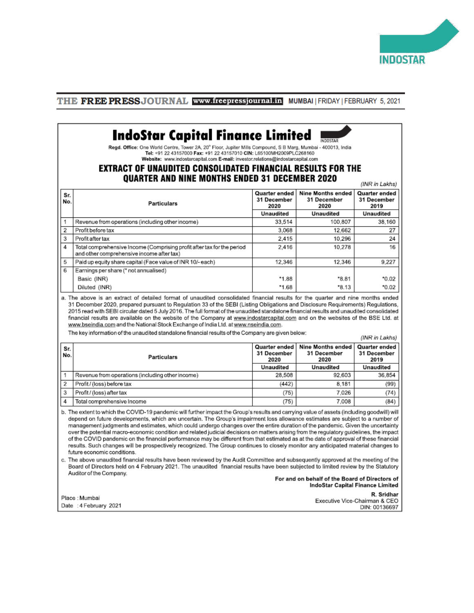

## **THE FREE PRESSJOURNAL www.freepressjournal.in** MUMBAI | FRIDAY | FEBRUARY 5, 2021

#### **IndoStar Capital Finance Limited INDOSTAR**

Regd. Office: One World Centre, Tower 2A, 20<sup>e</sup> Floor, Jupiter Mills Compound, S B Marg, Mumbai - 400013, India Tel: +91 22 43157000 Fax: +91 22 43157010 CIN: L65100MH2009PLC268160 Website: www.indostarcapital.com E-mail: investor.relations@indostarcapital.com

## **EXTRACT OF UNAUDITED CONSOLIDATED FINANCIAL RESULTS FOR THE QUARTER AND NINE MONTHS ENDED 31 DECEMBER 2020**

|                | GOUILLEN WILD NINE MONTHIO ENDED OT DEOEMDEN EOEO<br>(INR in Lakhs)                                                 |                                      |                                                 |                                      |  |
|----------------|---------------------------------------------------------------------------------------------------------------------|--------------------------------------|-------------------------------------------------|--------------------------------------|--|
| Sr.<br>No.     | <b>Particulars</b>                                                                                                  | Quarter ended<br>31 December<br>2020 | <b>Nine Months ended</b><br>31 December<br>2020 | Quarter ended<br>31 December<br>2019 |  |
|                |                                                                                                                     | Unaudited                            | Unaudited                                       | Unaudited                            |  |
|                | Revenue from operations (including other income)                                                                    | 33.514                               | 100.807                                         | 38,160                               |  |
| $\overline{2}$ | Profit before tax                                                                                                   | 3.068                                | 12,662                                          | 27                                   |  |
| 3              | Profit after tax                                                                                                    | 2.415                                | 10.296                                          | 24                                   |  |
| 4              | Total comprehensive Income (Comprising profit after tax for the period<br>and other comprehensive income after tax) | 2,416                                | 10,278                                          | 16                                   |  |
| 5              | Paid up equity share capital (Face value of INR 10/-each)                                                           | 12.346                               | 12.346                                          | 9,227                                |  |
| 6              | Earnings per share (* not annualised)                                                                               |                                      |                                                 |                                      |  |
|                | Basic (INR)                                                                                                         | *1.88                                | *8.81                                           | $*0.02$                              |  |
|                | Diluted (INR)                                                                                                       | *1.68                                | $*8.13$                                         | $*0.02$                              |  |

a. The above is an extract of detailed format of unaudited consolidated financial results for the quarter and nine months ended 31 December 2020, prepared pursuant to Regulation 33 of the SEBI (Listing Obligations and Disclosure Requirements) Regulations, 2015 read with SEBI circular dated 5 July 2016. The full format of the unaudited standalone financial results and unaudited consolidated financial results are available on the website of the Company at www.indostarcapital.com and on the websites of the BSE Ltd. at www.bseindia.com and the National Stock Exchange of India Ltd. at www.nseindia.com.

The key information of the unaudited standalone financial results of the Company are given below:

(INR in Lakhs)

| Sr.<br>No. | <b>Particulars</b>                               | Quarter ended<br>31 December<br>2020<br>Unaudited | Nine Months ended<br>31 December<br>2020<br>Unaudited | Quarter ended<br>31 December<br>2019<br>Unaudited |
|------------|--------------------------------------------------|---------------------------------------------------|-------------------------------------------------------|---------------------------------------------------|
|            | Revenue from operations (including other income) | 28,508                                            | 92.603                                                | 36.854                                            |
|            | Profit / (loss) before tax                       | (442)                                             | 8.181                                                 | (99)                                              |
|            | Profit/(loss) after tax                          | (75)                                              | 7.026                                                 | (74)                                              |
|            | Total comprehensive Income                       | (75)                                              | 7.008                                                 | (84)                                              |

b. The extent to which the COVID-19 pandemic will further impact the Group's results and carrying value of assets (including goodwill) will depend on future developments, which are uncertain. The Group's impairment loss allowance estimates are subject to a number of management judgments and estimates, which could undergo changes over the entire duration of the pandemic. Given the uncertainty over the potential macro-economic condition and related judicial decisions on matters arising from the regulatory guidelines, the impact of the COVID pandemic on the financial performance may be different from that estimated as at the date of approval of these financial results. Such changes will be prospectively recognized. The Group continues to closely monitor any anticipated material changes to future economic conditions.

c. The above unaudited financial results have been reviewed by the Audit Committee and subsequently approved at the meeting of the Board of Directors held on 4 February 2021. The unaudited financial results have been subjected to limited review by the Statutory Auditor of the Company.

#### For and on behalf of the Board of Directors of IndoStar Capital Finance Limited

Place : Mumbai Date : 4 February 2021

R. Sridhar Executive Vice-Chairman & CEO DIN: 00136697